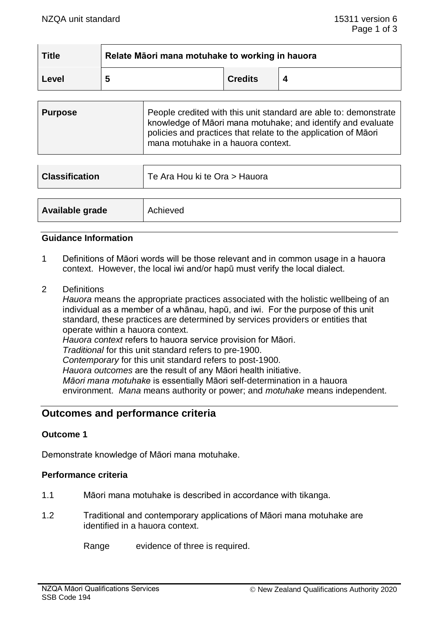| <b>Title</b> | Relate Māori mana motuhake to working in hauora |                |  |
|--------------|-------------------------------------------------|----------------|--|
| Level        | 5                                               | <b>Credits</b> |  |

| <b>Purpose</b> | People credited with this unit standard are able to: demonstrate<br>knowledge of Māori mana motuhake; and identify and evaluate<br>policies and practices that relate to the application of Maori<br>mana motuhake in a hauora context. |
|----------------|-----------------------------------------------------------------------------------------------------------------------------------------------------------------------------------------------------------------------------------------|
|                |                                                                                                                                                                                                                                         |

| <b>Classification</b> | Te Ara Hou ki te Ora > Hauora |
|-----------------------|-------------------------------|
|                       |                               |
| Available grade       | Achieved                      |

#### **Guidance Information**

- 1 Definitions of Māori words will be those relevant and in common usage in a hauora context. However, the local iwi and/or hapū must verify the local dialect.
- 2 Definitions

*Hauora* means the appropriate practices associated with the holistic wellbeing of an individual as a member of a whānau, hapū, and iwi. For the purpose of this unit standard, these practices are determined by services providers or entities that operate within a hauora context. *Hauora context* refers to hauora service provision for Māori. *Traditional* for this unit standard refers to pre-1900. *Contemporary* for this unit standard refers to post-1900. *Hauora outcomes* are the result of any Māori health initiative. *Māori mana motuhake* is essentially Māori self-determination in a hauora environment. *Mana* means authority or power; and *motuhake* means independent.

# **Outcomes and performance criteria**

# **Outcome 1**

Demonstrate knowledge of Māori mana motuhake.

#### **Performance criteria**

- 1.1 Māori mana motuhake is described in accordance with tikanga.
- 1.2 Traditional and contemporary applications of Māori mana motuhake are identified in a hauora context.

Range evidence of three is required.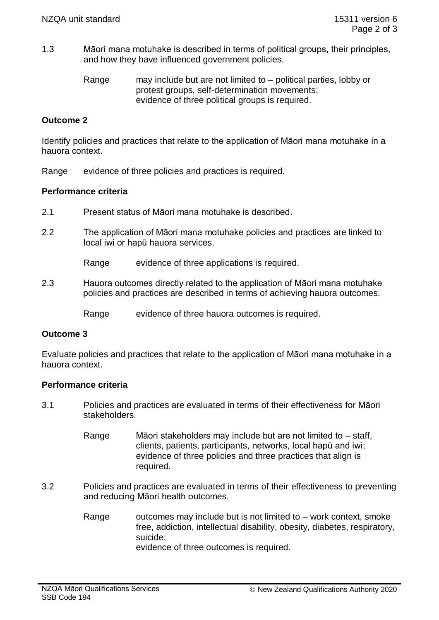1.3 Māori mana motuhake is described in terms of political groups, their principles, and how they have influenced government policies.

> Range may include but are not limited to – political parties, lobby or protest groups, self-determination movements; evidence of three political groups is required.

# **Outcome 2**

Identify policies and practices that relate to the application of Māori mana motuhake in a hauora context.

Range evidence of three policies and practices is required.

# **Performance criteria**

- 2.1 Present status of Māori mana motuhake is described.
- 2.2 The application of Māori mana motuhake policies and practices are linked to local iwi or hapū hauora services.

Range evidence of three applications is required.

2.3 Hauora outcomes directly related to the application of Māori mana motuhake policies and practices are described in terms of achieving hauora outcomes.

Range evidence of three hauora outcomes is required.

# **Outcome 3**

Evaluate policies and practices that relate to the application of Māori mana motuhake in a hauora context.

#### **Performance criteria**

- 3.1 Policies and practices are evaluated in terms of their effectiveness for Māori stakeholders.
	- Range Māori stakeholders may include but are not limited to staff, clients, patients, participants, networks, local hapū and iwi; evidence of three policies and three practices that align is required.
- 3.2 Policies and practices are evaluated in terms of their effectiveness to preventing and reducing Māori health outcomes.
	- Range outcomes may include but is not limited to  $-$  work context, smoke free, addiction, intellectual disability, obesity, diabetes, respiratory, suicide; evidence of three outcomes is required.

NZQA Māori Qualifications Services SSB Code 194